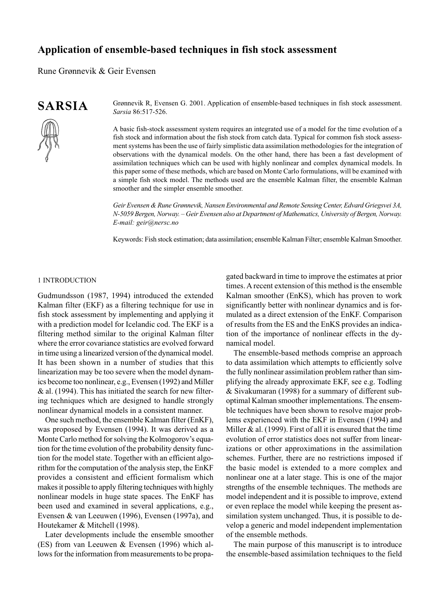# **Application of ensemble-based techniques in fish stock assessment**

Rune Grønnevik & Geir Evensen

# **SARSIA**

Grønnevik R, Evensen G. 2001. Application of ensemble-based techniques in fish stock assessment. *Sarsia* 86:517-526.

A basic fish-stock assessment system requires an integrated use of a model for the time evolution of a fish stock and information about the fish stock from catch data. Typical for common fish stock assessment systems has been the use of fairly simplistic data assimilation methodologies for the integration of observations with the dynamical models. On the other hand, there has been a fast development of assimilation techniques which can be used with highly nonlinear and complex dynamical models. In this paper some of these methods, which are based on Monte Carlo formulations, will be examined with a simple fish stock model. The methods used are the ensemble Kalman filter, the ensemble Kalman smoother and the simpler ensemble smoother.

*Geir Evensen & Rune Grønnevik, Nansen Environmental and Remote Sensing Center, Edvard Griegsvei 3A, N-5059 Bergen, Norway. – Geir Evensen also at Department of Mathematics, University of Bergen, Norway. E-mail: geir@nersc.no*

Keywords: Fish stock estimation; data assimilation; ensemble Kalman Filter; ensemble Kalman Smoother.

### 1 INTRODUCTION

Gudmundsson (1987, 1994) introduced the extended Kalman filter (EKF) as a filtering technique for use in fish stock assessment by implementing and applying it with a prediction model for Icelandic cod. The EKF is a filtering method similar to the original Kalman filter where the error covariance statistics are evolved forward in time using a linearized version of the dynamical model. It has been shown in a number of studies that this linearization may be too severe when the model dynamics become too nonlinear, e.g., Evensen (1992) and Miller & al. (1994). This has initiated the search for new filtering techniques which are designed to handle strongly nonlinear dynamical models in a consistent manner.

One such method, the ensemble Kalman filter (EnKF), was proposed by Evensen (1994). It was derived as a Monte Carlo method for solving the Kolmogorov's equation for the time evolution of the probability density function for the model state. Together with an efficient algorithm for the computation of the analysis step, the EnKF provides a consistent and efficient formalism which makes it possible to apply filtering techniques with highly nonlinear models in huge state spaces. The EnKF has been used and examined in several applications, e.g., Evensen & van Leeuwen (1996), Evensen (1997a), and Houtekamer & Mitchell (1998).

Later developments include the ensemble smoother (ES) from van Leeuwen & Evensen (1996) which allows for the information from measurements to be propagated backward in time to improve the estimates at prior times. A recent extension of this method is the ensemble Kalman smoother (EnKS), which has proven to work significantly better with nonlinear dynamics and is formulated as a direct extension of the EnKF. Comparison of results from the ES and the EnKS provides an indication of the importance of nonlinear effects in the dynamical model.

The ensemble-based methods comprise an approach to data assimilation which attempts to efficiently solve the fully nonlinear assimilation problem rather than simplifying the already approximate EKF, see e.g. Todling & Sivakumaran (1998) for a summary of different suboptimal Kalman smoother implementations. The ensemble techniques have been shown to resolve major problems experienced with the EKF in Evensen (1994) and Miller  $\&$  al. (1999). First of all it is ensured that the time evolution of error statistics does not suffer from linearizations or other approximations in the assimilation schemes. Further, there are no restrictions imposed if the basic model is extended to a more complex and nonlinear one at a later stage. This is one of the major strengths of the ensemble techniques. The methods are model independent and it is possible to improve, extend or even replace the model while keeping the present assimilation system unchanged. Thus, it is possible to develop a generic and model independent implementation of the ensemble methods.

The main purpose of this manuscript is to introduce the ensemble-based assimilation techniques to the field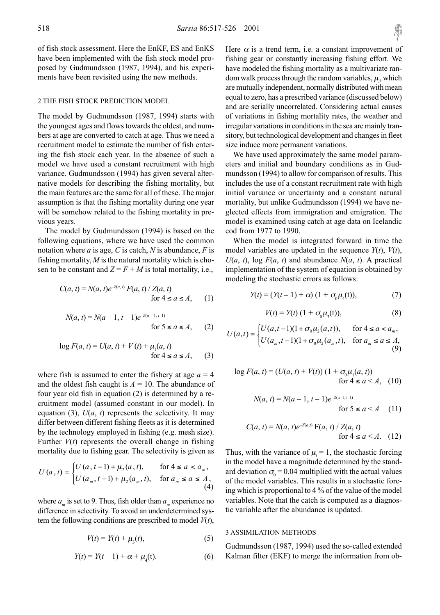of fish stock assessment. Here the EnKF, ES and EnKS have been implemented with the fish stock model proposed by Gudmundsson (1987, 1994), and his experiments have been revisited using the new methods.

# 2 THE FISH STOCK PREDICTION MODEL

The model by Gudmundsson (1987, 1994) starts with the youngest ages and flows towards the oldest, and numbers at age are converted to catch at age. Thus we need a recruitment model to estimate the number of fish entering the fish stock each year. In the absence of such a model we have used a constant recruitment with high variance. Gudmundsson (1994) has given several alternative models for describing the fishing mortality, but the main features are the same for all of these. The major assumption is that the fishing mortality during one year will be somehow related to the fishing mortality in previous years.

The model by Gudmundsson (1994) is based on the following equations, where we have used the common notation where *a* is age, *C* is catch, *N* is abundance, *F* is fishing mortality, *M* is the natural mortality which is chosen to be constant and  $Z = F + M$  is total mortality, i.e.,

$$
C(a, t) = N(a, t)e^{-Z(a, t)} F(a, t) / Z(a, t)
$$
  
for  $4 \le a \le A$ , (1)

$$
N(a, t) = N(a - 1, t - 1)e^{-Z(a - 1, t - 1)}
$$
  
for  $5 \le a \le A$ , (2)

$$
\log F(a, t) = U(a, t) + V(t) + \mu_1(a, t) \n\text{for } 4 \le a \le A,
$$
\n(3)

where fish is assumed to enter the fishery at age  $a = 4$ and the oldest fish caught is  $A = 10$ . The abundance of four year old fish in equation (2) is determined by a recruitment model (assumed constant in our model). In equation (3),  $U(a, t)$  represents the selectivity. It may differ between different fishing fleets as it is determined by the technology employed in fishing (e.g. mesh size). Further  $V(t)$  represents the overall change in fishing mortality due to fishing gear. The selectivity is given as

$$
U(a,t) = \begin{cases} U(a,t-1) + \mu_2(a,t), & \text{for } 4 \le a < a_m, \\ U(a_m,t-1) + \mu_2(a_m,t), & \text{for } a_m \le a \le A, \\ (4) \end{cases}
$$

where  $a_m$  is set to 9. Thus, fish older than  $a_m$  experience no difference in selectivity. To avoid an underdetermined system the following conditions are prescribed to model *V*(*t*),

$$
V(t) = Y(t) + \mu_3(t),
$$
 (5)

$$
Y(t) = Y(t-1) + \alpha + \mu_4(t).
$$
 (6)

Here  $\alpha$  is a trend term, i.e. a constant improvement of fishing gear or constantly increasing fishing effort. We have modeled the fishing mortality as a multivariate random walk process through the random variables,  $\mu_i$ , which are mutually independent, normally distributed with mean equal to zero, has a prescribed variance (discussed below) and are serially uncorrelated. Considering actual causes of variations in fishing mortality rates, the weather and irregular variations in conditions in the sea are mainly transitory, but technological development and changes in fleet size induce more permanent variations.

We have used approximately the same model parameters and initial and boundary conditions as in Gudmundsson (1994) to allow for comparison of results. This includes the use of a constant recruitment rate with high initial variance or uncertainty and a constant natural mortality, but unlike Gudmundsson (1994) we have neglected effects from immigration and emigration. The model is examined using catch at age data on Icelandic cod from 1977 to 1990.

When the model is integrated forward in time the model variables are updated in the sequence  $Y(t)$ ,  $V(t)$ ,  $U(a, t)$ , log  $F(a, t)$  and abundance  $N(a, t)$ . A practical implementation of the system of equation is obtained by modeling the stochastic errors as follows:

$$
Y(t) = (Y(t-1) + \alpha) (1 + \sigma_0 \mu_4(t)), \tag{7}
$$

$$
V(t) = Y(t) (1 + \sigma_0 \mu_3(t)), \tag{8}
$$

$$
U(a,t) = \begin{cases} U(a,t-1)(1+\sigma_0\mu_2(a,t)), & \text{for } 4 \le a < a_m, \\ U(a_m,t-1)(1+\sigma_0\mu_2(a_m,t)), & \text{for } a_m \le a \le A, \\ (9) \end{cases}
$$

$$
\log F(a, t) = (U(a, t) + V(t)) (1 + \sigma_0 \mu_1(a, t))
$$
  
for  $4 \le a < A$ , (10)

$$
N(a,t) = N(a-1, t-1)e^{-Z(a-1, t-1)}
$$
  
for  $5 \le a \le A$  (11)

$$
C(a, t) = N(a, t)e^{-Z(a, t)} F(a, t) / Z(a, t)
$$
  
for  $4 \le a < A$ . (12)

Thus, with the variance of  $\mu_i = 1$ , the stochastic forcing in the model have a magnitude determined by the standard deviation  $\sigma_0 = 0.04$  multiplied with the actual values of the model variables. This results in a stochastic forcing which is proportional to 4 % of the value of the model variables. Note that the catch is computed as a diagnostic variable after the abundance is updated.

### 3 ASSIMILATION METHODS

Gudmundsson (1987, 1994) used the so-called extended Kalman filter (EKF) to merge the information from ob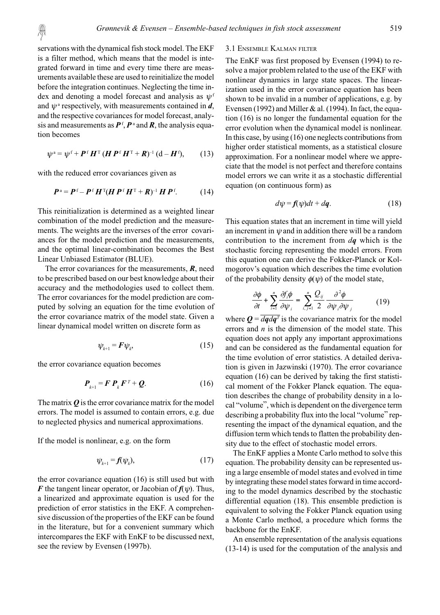servations with the dynamical fish stock model. The EKF is a filter method, which means that the model is integrated forward in time and every time there are measurements available these are used to reinitialize the model before the integration continues. Neglecting the time index and denoting a model forecast and analysis as  $\psi^f$ and  $\psi^a$  respectively, with measurements contained in *d*, and the respective covariances for model forecast, analysis and measurements as  $P<sup>f</sup>, P<sup>a</sup>$  and  $R$ , the analysis equation becomes

$$
\psi^{\mathfrak{a}} = \psi^{\mathfrak{f}} + \boldsymbol{P}^{\mathfrak{f}} \boldsymbol{H}^{\mathsf{T}} (\boldsymbol{H} \boldsymbol{P}^{\mathfrak{f}} \boldsymbol{H}^{\mathsf{T}} + \boldsymbol{R})^{-1} (\mathbf{d} - \boldsymbol{H}^{\mathfrak{f}}), \qquad (13)
$$

with the reduced error covariances given as

$$
\boldsymbol{P}^{\mathrm{a}} = \boldsymbol{P}^{\mathrm{f}} - \boldsymbol{P}^{\mathrm{f}} \boldsymbol{H}^{\mathrm{T}} (\boldsymbol{H} \boldsymbol{P}^{\mathrm{f}} \boldsymbol{H}^{\mathrm{T}} + \boldsymbol{R})^{-1} \boldsymbol{H} \boldsymbol{P}^{\mathrm{f}}.
$$
 (14)

This reinitialization is determined as a weighted linear combination of the model prediction and the measurements. The weights are the inverses of the error covariances for the model prediction and the measurements, and the optimal linear-combination becomes the Best Linear Unbiased Estimator (BLUE).

The error covariances for the measurements, *R*, need to be prescribed based on our best knowledge about their accuracy and the methodologies used to collect them. The error covariances for the model prediction are computed by solving an equation for the time evolution of the error covariance matrix of the model state. Given a linear dynamical model written on discrete form as

$$
\psi_{k+1} = \mathbf{F} \psi_k,\tag{15}
$$

the error covariance equation becomes

$$
\boldsymbol{P}_{k+1} = \boldsymbol{F} \, \boldsymbol{P}_k \, \boldsymbol{F}^T + \boldsymbol{Q}.\tag{16}
$$

The matrix *Q* is the error covariance matrix for the model errors. The model is assumed to contain errors, e.g. due to neglected physics and numerical approximations.

If the model is nonlinear, e.g. on the form

$$
\psi_{k+1} = f(\psi_k),\tag{17}
$$

the error covariance equation (16) is still used but with *F* the tangent linear operator, or Jacobian of  $f(\psi)$ . Thus, a linearized and approximate equation is used for the prediction of error statistics in the EKF. A comprehensive discussion of the properties of the EKF can be found in the literature, but for a convenient summary which intercompares the EKF with EnKF to be discussed next, see the review by Evensen (1997b).

### 3.1 ENSEMBLE KALMAN FILTER

The EnKF was first proposed by Evensen (1994) to resolve a major problem related to the use of the EKF with nonlinear dynamics in large state spaces. The linearization used in the error covariance equation has been shown to be invalid in a number of applications, e.g. by Evensen (1992) and Miller & al. (1994). In fact, the equation (16) is no longer the fundamental equation for the error evolution when the dynamical model is nonlinear. In this case, by using (16) one neglects contributions from higher order statistical moments, as a statistical closure approximation. For a nonlinear model where we appreciate that the model is not perfect and therefore contains model errors we can write it as a stochastic differential equation (on continuous form) as

$$
d\psi = f(\psi)dt + d\mathbf{q}.\tag{18}
$$

This equation states that an increment in time will yield an increment in  $\psi$  and in addition there will be a random contribution to the increment from *dq* which is the stochastic forcing representing the model errors. From this equation one can derive the Fokker-Planck or Kolmogorov's equation which describes the time evolution of the probability density  $\phi(\psi)$  of the model state,

$$
\frac{\partial \phi}{\partial t} + \sum_{i=1}^{n} \frac{\partial f_i \phi}{\partial \psi_i} = \sum_{i,j=1}^{n} \frac{Q_{ij}}{2} \frac{\partial^2 \phi}{\partial \psi_i \partial \psi_j}
$$
(19)

where  $Q = \overline{dq dq^T}$  is the covariance matrix for the model errors and *n* is the dimension of the model state. This equation does not apply any important approximations and can be considered as the fundamental equation for the time evolution of error statistics. A detailed derivation is given in Jazwinski (1970). The error covariance equation (16) can be derived by taking the first statistical moment of the Fokker Planck equation. The equation describes the change of probability density in a local "volume", which is dependent on the divergence term describing a probability flux into the local "volume" representing the impact of the dynamical equation, and the diffusion term which tends to flatten the probability density due to the effect of stochastic model errors.

The EnKF applies a Monte Carlo method to solve this equation. The probability density can be represented using a large ensemble of model states and evolved in time by integrating these model states forward in time according to the model dynamics described by the stochastic differential equation (18). This ensemble prediction is equivalent to solving the Fokker Planck equation using a Monte Carlo method, a procedure which forms the backbone for the EnKF.

An ensemble representation of the analysis equations (13-14) is used for the computation of the analysis and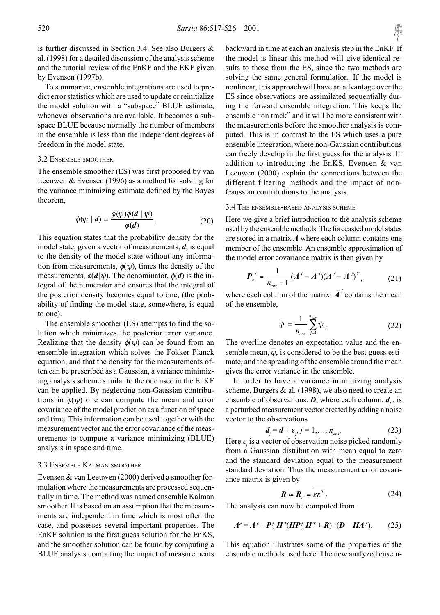is further discussed in Section 3.4. See also Burgers & al. (1998) for a detailed discussion of the analysis scheme and the tutorial review of the EnKF and the EKF given by Evensen (1997b).

To summarize, ensemble integrations are used to predict error statistics which are used to update or reinitialize the model solution with a "subspace" BLUE estimate, whenever observations are available. It becomes a subspace BLUE because normally the number of members in the ensemble is less than the independent degrees of freedom in the model state.

### 3.2 ENSEMBLE SMOOTHER

The ensemble smoother (ES) was first proposed by van Leeuwen & Evensen (1996) as a method for solving for the variance minimizing estimate defined by the Bayes theorem,

$$
\phi(\psi \mid d) = \frac{\phi(\psi)\phi(d \mid \psi)}{\phi(d)}.
$$
\n(20)

This equation states that the probability density for the model state, given a vector of measurements, *d*, is equal to the density of the model state without any information from measurements,  $\phi(\psi)$ , times the density of the measurements,  $\phi(d|\psi)$ . The denominator,  $\phi(d)$  is the integral of the numerator and ensures that the integral of the posterior density becomes equal to one, (the probability of finding the model state, somewhere, is equal to one).

The ensemble smoother (ES) attempts to find the solution which minimizes the posterior error variance. Realizing that the density  $\phi(\psi)$  can be found from an ensemble integration which solves the Fokker Planck equation, and that the density for the measurements often can be prescribed as a Gaussian, a variance minimizing analysis scheme similar to the one used in the EnKF can be applied. By neglecting non-Gaussian contributions in  $\phi(\psi)$  one can compute the mean and error covariance of the model prediction as a function of space and time. This information can be used together with the measurement vector and the error covariance of the measurements to compute a variance minimizing (BLUE) analysis in space and time.

### 3.3 ENSEMBLE KALMAN SMOOTHER

Evensen & van Leeuwen (2000) derived a smoother formulation where the measurements are processed sequentially in time. The method was named ensemble Kalman smoother. It is based on an assumption that the measurements are independent in time which is most often the case, and possesses several important properties. The EnKF solution is the first guess solution for the EnKS, and the smoother solution can be found by computing a BLUE analysis computing the impact of measurements backward in time at each an analysis step in the EnKF. If the model is linear this method will give identical results to those from the ES, since the two methods are solving the same general formulation. If the model is nonlinear, this approach will have an advantage over the ES since observations are assimilated sequentially during the forward ensemble integration. This keeps the ensemble "on track" and it will be more consistent with the measurements before the smoother analysis is computed. This is in contrast to the ES which uses a pure ensemble integration, where non-Gaussian contributions can freely develop in the first guess for the analysis. In addition to introducing the EnKS, Evensen & van Leeuwen (2000) explain the connections between the

# Gaussian contributions to the analysis. 3.4 THE ENSEMBLE-BASED ANALYSIS SCHEME

Here we give a brief introduction to the analysis scheme used by the ensemble methods. The forecasted model states are stored in a matrix *A* where each column contains one member of the ensemble. An ensemble approximation of the model error covariance matrix is then given by

different filtering methods and the impact of non-

$$
P_e^f = \frac{1}{n_{\text{ens}} - 1} (A^f - \overline{A}^f)(A^f - \overline{A}^f)^T, \tag{21}
$$

where each column of the matrix  $\overline{A}^f$  contains the mean of the ensemble,

$$
\overline{\psi} = \frac{1}{n_{\text{ens}}} \sum_{j=1}^{n_{\text{ens}}} \psi_j \tag{22}
$$

The overline denotes an expectation value and the ensemble mean,  $\overline{\psi}$ , is considered to be the best guess estimate, and the spreading of the ensemble around the mean gives the error variance in the ensemble.

In order to have a variance minimizing analysis scheme, Burgers & al. (1998), we also need to create an ensemble of observations,  $D$ , where each column,  $d_i$ , is a perturbed measurement vector created by adding a noise vector to the observations

$$
\boldsymbol{d}_j = \boldsymbol{d} + \boldsymbol{\epsilon}_j, j = 1, \dots, n_{\text{ens}}.
$$
 (23)

Here  $\varepsilon$ <sub>*i*</sub> is a vector of observation noise picked randomly from a Gaussian distribution with mean equal to zero and the standard deviation equal to the measurement standard deviation. Thus the measurement error covariance matrix is given by

$$
\boldsymbol{R} \approx \boldsymbol{R}_e = \varepsilon \boldsymbol{\varepsilon}^T. \tag{24}
$$

The analysis can now be computed from

$$
Aa = Af + Pfe HT(HPfe HT + R)-1(D - HAf). (25)
$$

This equation illustrates some of the properties of the ensemble methods used here. The new analyzed ensem-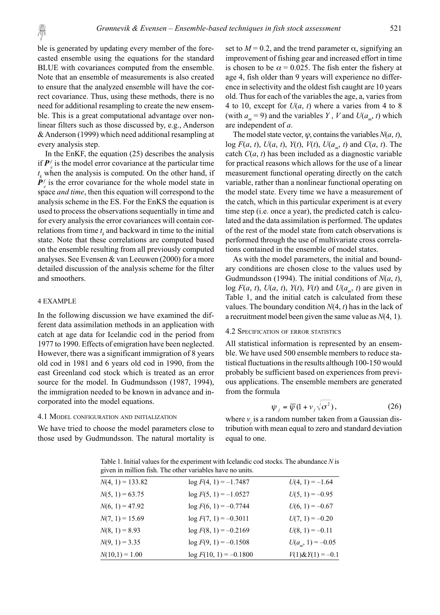ble is generated by updating every member of the forecasted ensemble using the equations for the standard BLUE with covariances computed from the ensemble. Note that an ensemble of measurements is also created to ensure that the analyzed ensemble will have the correct covariance. Thus, using these methods, there is no need for additional resampling to create the new ensemble. This is a great computational advantage over nonlinear filters such as those discussed by, e.g., Anderson & Anderson (1999) which need additional resampling at every analysis step.

In the EnKF, the equation (25) describes the analysis if  $P_{e}^{f}$  is the model error covariance at the particular time  $t_k$  when the analysis is computed. On the other hand, if  $P_{e}^{f}$  is the error covariance for the whole model state in space *and time*, then this equation will correspond to the analysis scheme in the ES. For the EnKS the equation is used to process the observations sequentially in time and for every analysis the error covariances will contain correlations from time  $t_k$  and backward in time to the initial state. Note that these correlations are computed based on the ensemble resulting from all previously computed analyses. See Evensen & van Leeuwen (2000) for a more detailed discussion of the analysis scheme for the filter and smoothers.

### 4 EXAMPLE

In the following discussion we have examined the different data assimilation methods in an application with catch at age data for Icelandic cod in the period from 1977 to 1990. Effects of emigration have been neglected. However, there was a significant immigration of 8 years old cod in 1981 and 6 years old cod in 1990, from the east Greenland cod stock which is treated as an error source for the model. In Gudmundsson (1987, 1994), the immigration needed to be known in advance and incorporated into the model equations.

# 4.1 MODEL CONFIGURATION AND INITIALIZATION

We have tried to choose the model parameters close to those used by Gudmundsson. The natural mortality is set to  $M = 0.2$ , and the trend parameter  $\alpha$ , signifying an improvement of fishing gear and increased effort in time is chosen to be  $\alpha$  = 0.025. The fish enter the fishery at age 4, fish older than 9 years will experience no difference in selectivity and the oldest fish caught are 10 years old. Thus for each of the variables the age, a, varies from 4 to 10, except for  $U(a, t)$  where a varies from 4 to 8 (with  $a_m = 9$ ) and the variables *Y*, *V* and  $U(a_m, t)$  which are independent of *a*.

The model state vector,  $\psi$ , contains the variables  $N(a, t)$ , log  $F(a, t)$ ,  $U(a, t)$ ,  $Y(t)$ ,  $V(t)$ ,  $U(a_0, t)$  and  $C(a, t)$ . The catch *C*(*a*, *t*) has been included as a diagnostic variable for practical reasons which allows for the use of a linear measurement functional operating directly on the catch variable, rather than a nonlinear functional operating on the model state. Every time we have a measurement of the catch, which in this particular experiment is at every time step (i.e. once a year), the predicted catch is calculated and the data assimilation is performed. The updates of the rest of the model state from catch observations is performed through the use of multivariate cross correlations contained in the ensemble of model states.

As with the model parameters, the initial and boundary conditions are chosen close to the values used by Gudmundsson (1994). The initial conditions of *N*(*a*, *t*), log  $F(a, t)$ ,  $U(a, t)$ ,  $Y(t)$ ,  $V(t)$  and  $U(a_n, t)$  are given in Table 1, and the initial catch is calculated from these values. The boundary condition *N*(4, *t*) has in the lack of a recruitment model been given the same value as *N*(4, 1).

### 4.2 SPECIFICATION OF ERROR STATISTICS

All statistical information is represented by an ensemble. We have used 500 ensemble members to reduce statistical fluctuations in the results although 100-150 would probably be sufficient based on experiences from previous applications. The ensemble members are generated from the formula

$$
\psi_j = \overline{\psi} (1 + \nu_j \sqrt{\sigma^2}), \qquad (26)
$$

where  $\nu$  is a random number taken from a Gaussian distribution with mean equal to zero and standard deviation equal to one.

Table 1. Initial values for the experiment with Icelandic cod stocks. The abundance *N* is given in million fish. The other variables have no units

| $N(4, 1) = 133.82$ | $\log F(4, 1) = -1.7487$ | $U(4, 1) = -1.64$         |
|--------------------|--------------------------|---------------------------|
| $N(5, 1) = 63.75$  | $log F(5, 1) = -1.0527$  | $U(5, 1) = -0.95$         |
| $N(6, 1) = 47.92$  | $log F(6, 1) = -0.7744$  | $U(6, 1) = -0.67$         |
| $N(7, 1) = 15.69$  | $\log F(7, 1) = -0.3011$ | $U(7, 1) = -0.20$         |
| $N(8, 1) = 8.93$   | $log F(8, 1) = -0.2169$  | $U(8, 1) = -0.11$         |
| $N(9, 1) = 3.35$   | $log F(9, 1) = -0.1508$  | $U(a_{\rm m}, 1) = -0.05$ |
| $N(10,1) = 1.00$   | $log F(10, 1) = -0.1800$ | $V(1) \& Y(1) = -0.1$     |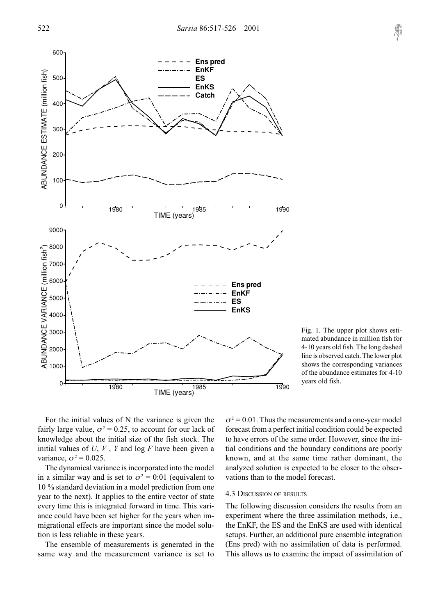

Fig. 1. The upper plot shows estimated abundance in million fish for 4-10 years old fish. The long dashed line is observed catch. The lower plot shows the corresponding variances of the abundance estimates for 4-10 years old fish.

For the initial values of N the variance is given the fairly large value,  $\sigma^2 = 0.25$ , to account for our lack of knowledge about the initial size of the fish stock. The initial values of  $U, V, Y$  and log  $F$  have been given a variance,  $\sigma^2 = 0.025$ .

The dynamical variance is incorporated into the model in a similar way and is set to  $\sigma^2 = 0.01$  (equivalent to 10 % standard deviation in a model prediction from one year to the next). It applies to the entire vector of state every time this is integrated forward in time. This variance could have been set higher for the years when immigrational effects are important since the model solution is less reliable in these years.

The ensemble of measurements is generated in the same way and the measurement variance is set to

 $\sigma^2$  = 0.01. Thus the measurements and a one-year model forecast from a perfect initial condition could be expected to have errors of the same order. However, since the initial conditions and the boundary conditions are poorly known, and at the same time rather dominant, the analyzed solution is expected to be closer to the observations than to the model forecast.

# 4.3 DISCUSSION OF RESULTS

The following discussion considers the results from an experiment where the three assimilation methods, i.e., the EnKF, the ES and the EnKS are used with identical setups. Further, an additional pure ensemble integration (Ens pred) with no assimilation of data is performed. This allows us to examine the impact of assimilation of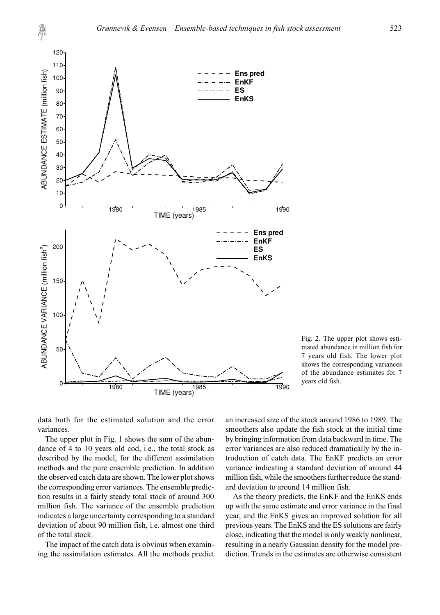

Fig. 2. The upper plot shows estimated abundance in million fish for 7 years old fish. The lower plot shows the corresponding variances of the abundance estimates for 7 years old fish.

data both for the estimated solution and the error variances.

The upper plot in Fig. 1 shows the sum of the abundance of 4 to 10 years old cod, i.e., the total stock as described by the model, for the different assimilation methods and the pure ensemble prediction. In addition the observed catch data are shown. The lower plot shows the corresponding error variances. The ensemble prediction results in a fairly steady total stock of around 300 million fish. The variance of the ensemble prediction indicates a large uncertainty corresponding to a standard deviation of about 90 million fish, i.e. almost one third of the total stock.

The impact of the catch data is obvious when examining the assimilation estimates. All the methods predict an increased size of the stock around 1986 to 1989. The smoothers also update the fish stock at the initial time by bringing information from data backward in time. The error variances are also reduced dramatically by the introduction of catch data. The EnKF predicts an error variance indicating a standard deviation of around 44 million fish, while the smoothers further reduce the standard deviation to around 14 million fish.

As the theory predicts, the EnKF and the EnKS ends up with the same estimate and error variance in the final year, and the EnKS gives an improved solution for all previous years. The EnKS and the ES solutions are fairly close, indicating that the model is only weakly nonlinear, resulting in a nearly Gaussian density for the model prediction. Trends in the estimates are otherwise consistent

A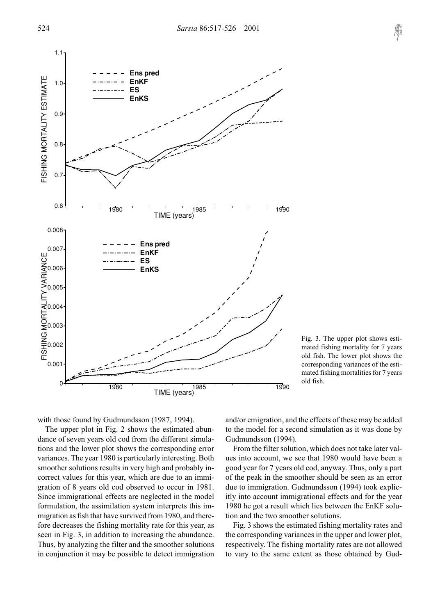

Fig. 3. The upper plot shows estimated fishing mortality for 7 years old fish. The lower plot shows the corresponding variances of the estimated fishing mortalities for 7 years old fish.

with those found by Gudmundsson (1987, 1994).

The upper plot in Fig. 2 shows the estimated abundance of seven years old cod from the different simulations and the lower plot shows the corresponding error variances. The year 1980 is particularly interesting. Both smoother solutions results in very high and probably incorrect values for this year, which are due to an immigration of 8 years old cod observed to occur in 1981. Since immigrational effects are neglected in the model formulation, the assimilation system interprets this immigration as fish that have survived from 1980, and therefore decreases the fishing mortality rate for this year, as seen in Fig. 3, in addition to increasing the abundance. Thus, by analyzing the filter and the smoother solutions in conjunction it may be possible to detect immigration and/or emigration, and the effects of these may be added to the model for a second simulation as it was done by Gudmundsson (1994).

From the filter solution, which does not take later values into account, we see that 1980 would have been a good year for 7 years old cod, anyway. Thus, only a part of the peak in the smoother should be seen as an error due to immigration. Gudmundsson (1994) took explicitly into account immigrational effects and for the year 1980 he got a result which lies between the EnKF solution and the two smoother solutions.

Fig. 3 shows the estimated fishing mortality rates and the corresponding variances in the upper and lower plot, respectively. The fishing mortality rates are not allowed to vary to the same extent as those obtained by Gud-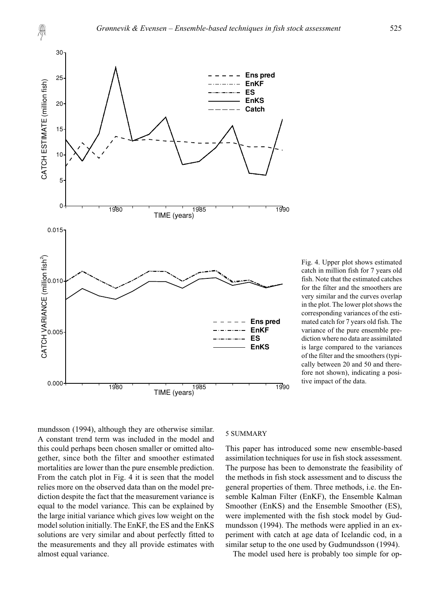

Fig. 4. Upper plot shows estimated catch in million fish for 7 years old fish. Note that the estimated catches for the filter and the smoothers are very similar and the curves overlap in the plot. The lower plot shows the corresponding variances of the estimated catch for 7 years old fish. The variance of the pure ensemble prediction where no data are assimilated is large compared to the variances of the filter and the smoothers (typically between 20 and 50 and therefore not shown), indicating a positive impact of the data.

mundsson (1994), although they are otherwise similar. A constant trend term was included in the model and this could perhaps been chosen smaller or omitted altogether, since both the filter and smoother estimated mortalities are lower than the pure ensemble prediction. From the catch plot in Fig. 4 it is seen that the model relies more on the observed data than on the model prediction despite the fact that the measurement variance is equal to the model variance. This can be explained by the large initial variance which gives low weight on the model solution initially. The EnKF, the ES and the EnKS solutions are very similar and about perfectly fitted to the measurements and they all provide estimates with almost equal variance.

### 5 SUMMARY

This paper has introduced some new ensemble-based assimilation techniques for use in fish stock assessment. The purpose has been to demonstrate the feasibility of the methods in fish stock assessment and to discuss the general properties of them. Three methods, i.e. the Ensemble Kalman Filter (EnKF), the Ensemble Kalman Smoother (EnKS) and the Ensemble Smoother (ES), were implemented with the fish stock model by Gudmundsson (1994). The methods were applied in an experiment with catch at age data of Icelandic cod, in a similar setup to the one used by Gudmundsson (1994).

The model used here is probably too simple for op-